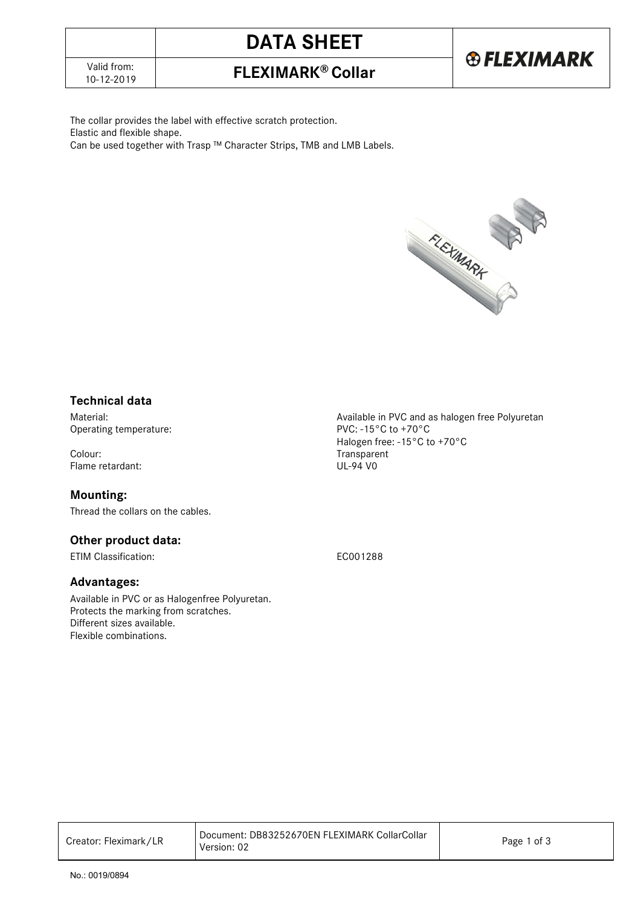# **DATA SHEET**

# 10-12-2019 **FLEXIMARK® Collar**

The collar provides the label with effective scratch protection. Elastic and flexible shape. Can be used together with Trasp ™ Character Strips, TMB and LMB Labels.



### **Technical data**

Operating temperature:

Colour:<br>
Flame retardant:<br>
Flame retardant:<br>
UL-94 V0 Flame retardant:

#### **Mounting:**

Thread the collars on the cables.

## **Other product data:**

ETIM Classification: EC001288

### **Advantages:**

Available in PVC or as Halogenfree Polyuretan. Protects the marking from scratches. Different sizes available. Flexible combinations.

Material:<br>
Operating temperature:<br>
Operating temperature:<br>  $PVC - 15°C$  to +70°C Halogen free: -15°C to +70°C

| Creator: Fleximark/LR | l Document: DB83252670EN FLEXIMARK CollarCollar<br>Version: 02 | Page 1 of 3 |
|-----------------------|----------------------------------------------------------------|-------------|
|-----------------------|----------------------------------------------------------------|-------------|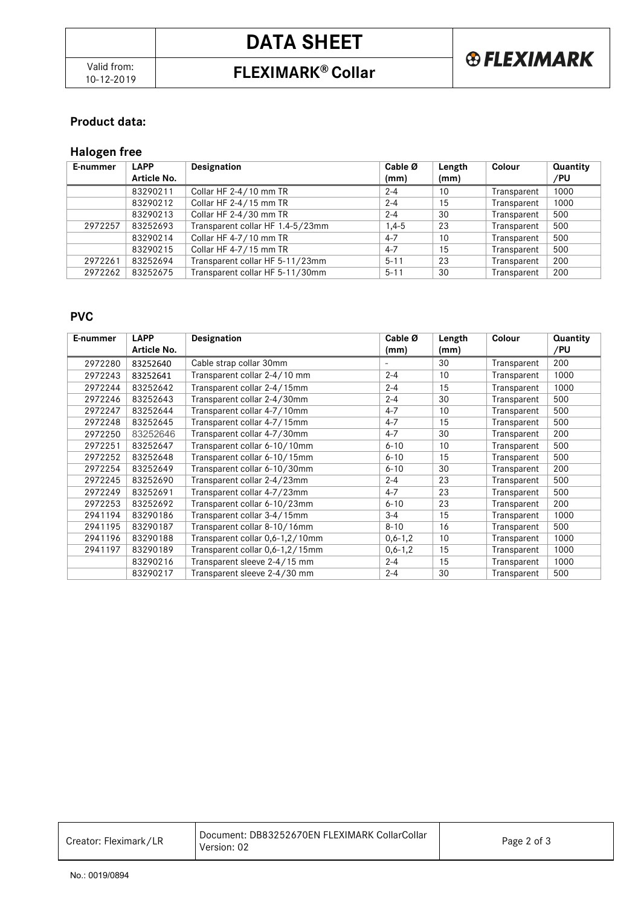# **DATA SHEET**

## 10-12-2019 **FLEXIMARK® Collar**



### **Product data:**

## **Halogen free**

| E-nummer | <b>LAPP</b> | Designation                      | Cable Ø   | Length | Colour      | Quantity |
|----------|-------------|----------------------------------|-----------|--------|-------------|----------|
|          | Article No. |                                  | (mm)      | (mm)   |             | /PU      |
|          | 83290211    | Collar HF 2-4/10 mm TR           | $2 - 4$   | 10     | Transparent | 1000     |
|          | 83290212    | Collar HF 2-4/15 mm TR           | $2 - 4$   | 15     | Transparent | 1000     |
|          | 83290213    | Collar HF 2-4/30 mm TR           | $2 - 4$   | 30     | Transparent | 500      |
| 2972257  | 83252693    | Transparent collar HF 1.4-5/23mm | $1.4 - 5$ | 23     | Transparent | 500      |
|          | 83290214    | Collar HF 4-7/10 mm TR           | $4 - 7$   | 10     | Transparent | 500      |
|          | 83290215    | Collar HF 4-7/15 mm TR           | $4 - 7$   | 15     | Transparent | 500      |
| 2972261  | 83252694    | Transparent collar HF 5-11/23mm  | $5 - 11$  | 23     | Transparent | 200      |
| 2972262  | 83252675    | Transparent collar HF 5-11/30mm  | $5 - 11$  | 30     | Transparent | 200      |

### **PVC**

| E-nummer | <b>LAPP</b> | Designation                     | Cable $\varnothing$ | Length | Colour      | Quantity |
|----------|-------------|---------------------------------|---------------------|--------|-------------|----------|
|          | Article No. |                                 | (mm)                | (mm)   |             | /PU      |
| 2972280  | 83252640    | Cable strap collar 30mm         | Ξ.                  | 30     | Transparent | 200      |
| 2972243  | 83252641    | Transparent collar 2-4/10 mm    | $2 - 4$             | 10     | Transparent | 1000     |
| 2972244  | 83252642    | Transparent collar 2-4/15mm     | $2 - 4$             | 15     | Transparent | 1000     |
| 2972246  | 83252643    | Transparent collar 2-4/30mm     | $2 - 4$             | 30     | Transparent | 500      |
| 2972247  | 83252644    | Transparent collar 4-7/10mm     | $4 - 7$             | 10     | Transparent | 500      |
| 2972248  | 83252645    | Transparent collar 4-7/15mm     | $4 - 7$             | 15     | Transparent | 500      |
| 2972250  | 83252646    | Transparent collar 4-7/30mm     | $4 - 7$             | 30     | Transparent | 200      |
| 2972251  | 83252647    | Transparent collar 6-10/10mm    | $6 - 10$            | 10     | Transparent | 500      |
| 2972252  | 83252648    | Transparent collar 6-10/15mm    | $6 - 10$            | 15     | Transparent | 500      |
| 2972254  | 83252649    | Transparent collar 6-10/30mm    | $6 - 10$            | 30     | Transparent | 200      |
| 2972245  | 83252690    | Transparent collar 2-4/23mm     | $2 - 4$             | 23     | Transparent | 500      |
| 2972249  | 83252691    | Transparent collar 4-7/23mm     | $4 - 7$             | 23     | Transparent | 500      |
| 2972253  | 83252692    | Transparent collar 6-10/23mm    | $6 - 10$            | 23     | Transparent | 200      |
| 2941194  | 83290186    | Transparent collar 3-4/15mm     | $3 - 4$             | 15     | Transparent | 1000     |
| 2941195  | 83290187    | Transparent collar 8-10/16mm    | $8 - 10$            | 16     | Transparent | 500      |
| 2941196  | 83290188    | Transparent collar 0,6-1,2/10mm | $0, 6 - 1, 2$       | 10     | Transparent | 1000     |
| 2941197  | 83290189    | Transparent collar 0,6-1,2/15mm | $0, 6 - 1, 2$       | 15     | Transparent | 1000     |
|          | 83290216    | Transparent sleeve 2-4/15 mm    | $2 - 4$             | 15     | Transparent | 1000     |
|          | 83290217    | Transparent sleeve 2-4/30 mm    | $2 - 4$             | 30     | Transparent | 500      |

| Creator: Fleximark/LR | Document: DB83252670EN FLEXIMARK CollarCollar<br>Version: 02 | Page 2 of 3 |
|-----------------------|--------------------------------------------------------------|-------------|
|-----------------------|--------------------------------------------------------------|-------------|